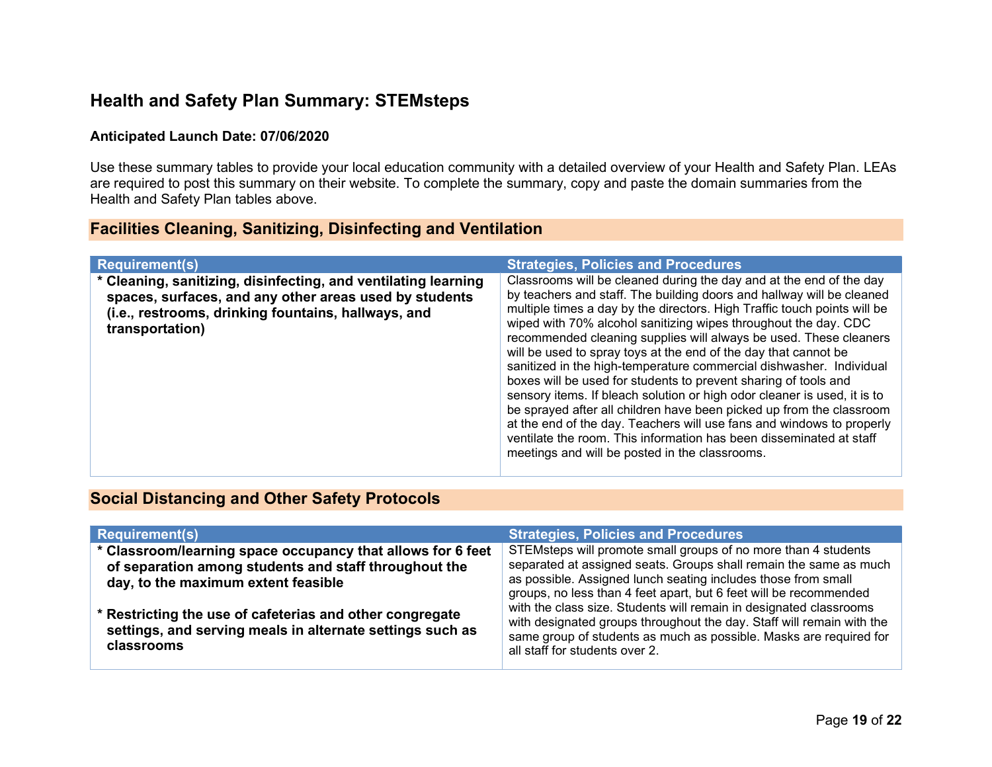### Health and Safety Plan Summary: STEMsteps

#### Anticipated Launch Date: 07/06/2020

Use these summary tables to provide your local education community with a detailed overview of your Health and Safety Plan. LEAs are required to post this summary on their website. To complete the summary, copy and paste the domain summaries from the Health and Safety Plan tables above.

### Facilities Cleaning, Sanitizing, Disinfecting and Ventilation

| <b>Requirement(s)</b>                                                                                                                                                                              | <b>Strategies, Policies and Procedures</b>                                                                                                                                                                                                                                                                                                                                                                                                                                                                                                                                                                                                                                                                                                                                                                                                                                                                                          |
|----------------------------------------------------------------------------------------------------------------------------------------------------------------------------------------------------|-------------------------------------------------------------------------------------------------------------------------------------------------------------------------------------------------------------------------------------------------------------------------------------------------------------------------------------------------------------------------------------------------------------------------------------------------------------------------------------------------------------------------------------------------------------------------------------------------------------------------------------------------------------------------------------------------------------------------------------------------------------------------------------------------------------------------------------------------------------------------------------------------------------------------------------|
| * Cleaning, sanitizing, disinfecting, and ventilating learning<br>spaces, surfaces, and any other areas used by students<br>(i.e., restrooms, drinking fountains, hallways, and<br>transportation) | Classrooms will be cleaned during the day and at the end of the day<br>by teachers and staff. The building doors and hallway will be cleaned<br>multiple times a day by the directors. High Traffic touch points will be<br>wiped with 70% alcohol sanitizing wipes throughout the day. CDC<br>recommended cleaning supplies will always be used. These cleaners<br>will be used to spray toys at the end of the day that cannot be<br>sanitized in the high-temperature commercial dishwasher. Individual<br>boxes will be used for students to prevent sharing of tools and<br>sensory items. If bleach solution or high odor cleaner is used, it is to<br>be sprayed after all children have been picked up from the classroom<br>at the end of the day. Teachers will use fans and windows to properly<br>ventilate the room. This information has been disseminated at staff<br>meetings and will be posted in the classrooms. |

#### Social Distancing and Other Safety Protocols

| <b>Requirement(s)</b>                                                                                                                                       | <b>Strategies, Policies and Procedures</b>                                                                                                                                                                                                                                                                                                                                                                                                                                                                                       |
|-------------------------------------------------------------------------------------------------------------------------------------------------------------|----------------------------------------------------------------------------------------------------------------------------------------------------------------------------------------------------------------------------------------------------------------------------------------------------------------------------------------------------------------------------------------------------------------------------------------------------------------------------------------------------------------------------------|
| * Classroom/learning space occupancy that allows for 6 feet<br>of separation among students and staff throughout the<br>day, to the maximum extent feasible | STEMsteps will promote small groups of no more than 4 students<br>separated at assigned seats. Groups shall remain the same as much<br>as possible. Assigned lunch seating includes those from small<br>groups, no less than 4 feet apart, but 6 feet will be recommended<br>with the class size. Students will remain in designated classrooms<br>with designated groups throughout the day. Staff will remain with the<br>same group of students as much as possible. Masks are required for<br>all staff for students over 2. |
| * Restricting the use of cafeterias and other congregate<br>settings, and serving meals in alternate settings such as<br>classrooms                         |                                                                                                                                                                                                                                                                                                                                                                                                                                                                                                                                  |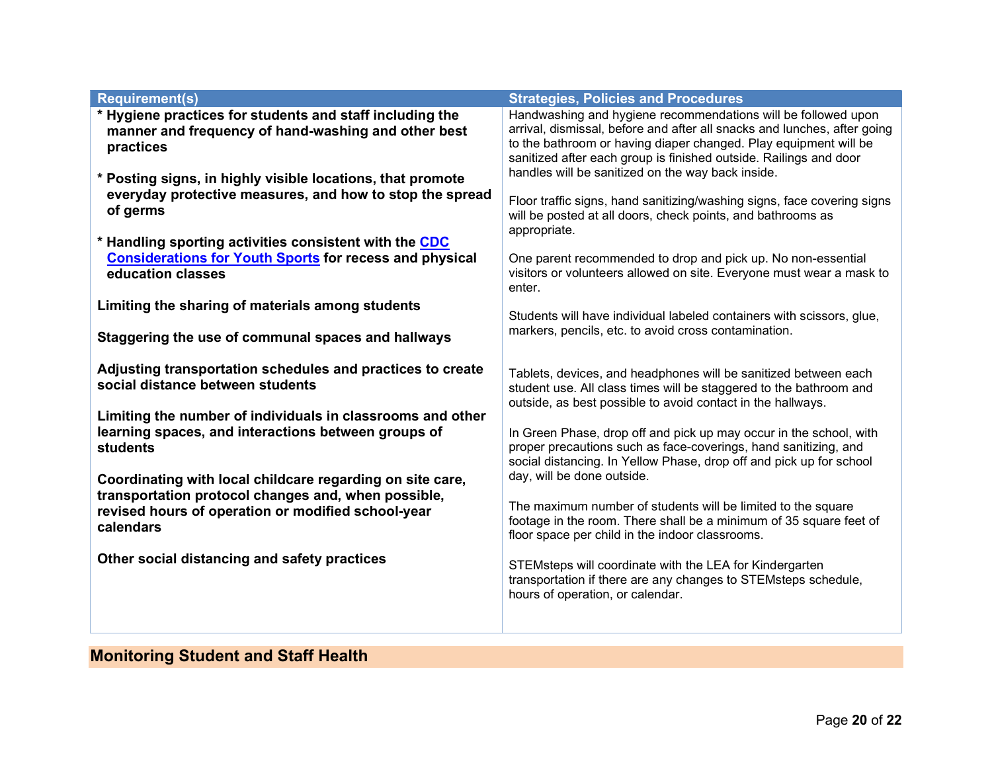| <b>Requirement(s)</b>                                                                                                                                                               | <b>Strategies, Policies and Procedures</b>                                                                                                                                                                                                                                         |
|-------------------------------------------------------------------------------------------------------------------------------------------------------------------------------------|------------------------------------------------------------------------------------------------------------------------------------------------------------------------------------------------------------------------------------------------------------------------------------|
| * Hygiene practices for students and staff including the<br>manner and frequency of hand-washing and other best<br>practices                                                        | Handwashing and hygiene recommendations will be followed upon<br>arrival, dismissal, before and after all snacks and lunches, after going<br>to the bathroom or having diaper changed. Play equipment will be<br>sanitized after each group is finished outside. Railings and door |
| * Posting signs, in highly visible locations, that promote<br>everyday protective measures, and how to stop the spread<br>of germs                                                  | handles will be sanitized on the way back inside.<br>Floor traffic signs, hand sanitizing/washing signs, face covering signs<br>will be posted at all doors, check points, and bathrooms as<br>appropriate.                                                                        |
| * Handling sporting activities consistent with the CDC<br><b>Considerations for Youth Sports for recess and physical</b><br>education classes                                       | One parent recommended to drop and pick up. No non-essential<br>visitors or volunteers allowed on site. Everyone must wear a mask to<br>enter.                                                                                                                                     |
| Limiting the sharing of materials among students<br>Staggering the use of communal spaces and hallways                                                                              | Students will have individual labeled containers with scissors, glue,<br>markers, pencils, etc. to avoid cross contamination.                                                                                                                                                      |
| Adjusting transportation schedules and practices to create<br>social distance between students<br>Limiting the number of individuals in classrooms and other                        | Tablets, devices, and headphones will be sanitized between each<br>student use. All class times will be staggered to the bathroom and<br>outside, as best possible to avoid contact in the hallways.                                                                               |
| learning spaces, and interactions between groups of<br>students                                                                                                                     | In Green Phase, drop off and pick up may occur in the school, with<br>proper precautions such as face-coverings, hand sanitizing, and<br>social distancing. In Yellow Phase, drop off and pick up for school                                                                       |
| Coordinating with local childcare regarding on site care,<br>transportation protocol changes and, when possible,<br>revised hours of operation or modified school-year<br>calendars | day, will be done outside.<br>The maximum number of students will be limited to the square<br>footage in the room. There shall be a minimum of 35 square feet of<br>floor space per child in the indoor classrooms.                                                                |
| Other social distancing and safety practices                                                                                                                                        | STEMsteps will coordinate with the LEA for Kindergarten<br>transportation if there are any changes to STEMsteps schedule,<br>hours of operation, or calendar.                                                                                                                      |

# Monitoring Student and Staff Health